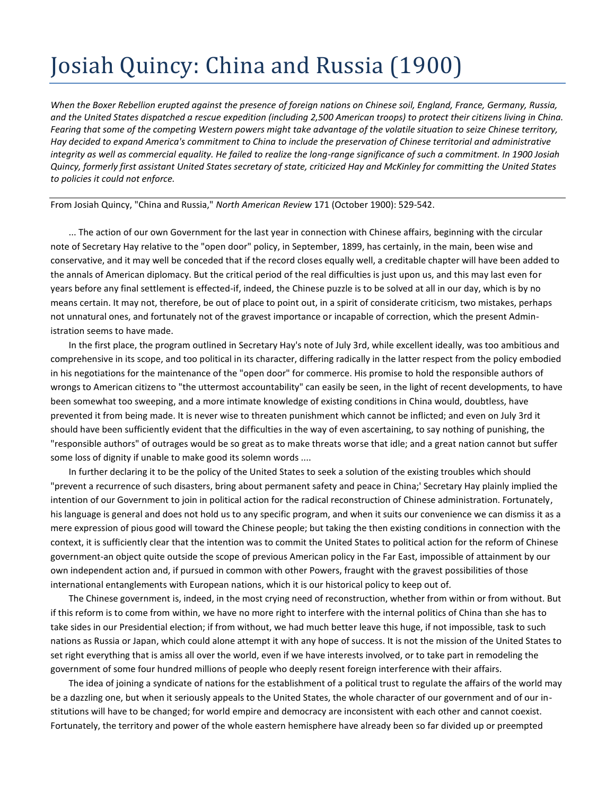## Josiah Quincy: China and Russia (1900)

*When the Boxer Rebellion erupted against the presence of foreign nations on Chinese soil, England, France, Germany, Russia, and the United States dispatched a rescue expedition (including 2,500 American troops) to protect their citizens living in China. Fearing that some of the competing Western powers might take advantage of the volatile situation to seize Chinese territory, Hay decided to expand America's commitment to China to include the preservation of Chinese territorial and administrative integrity as well as commercial equality. He failed to realize the long-range significance of such a commitment. In 1900 Josiah Quincy, formerly first assistant United States secretary of state, criticized Hay and McKinley for committing the United States to policies it could not enforce.*

From Josiah Quincy, "China and Russia," *North American Review* 171 (October 1900): 529-542.

... The action of our own Government for the last year in connection with Chinese affairs, beginning with the circular note of Secretary Hay relative to the "open door" policy, in September, 1899, has certainly, in the main, been wise and conservative, and it may well be conceded that if the record closes equally well, a creditable chapter will have been added to the annals of American diplomacy. But the critical period of the real difficulties is just upon us, and this may last even for years before any final settlement is effected-if, indeed, the Chinese puzzle is to be solved at all in our day, which is by no means certain. It may not, therefore, be out of place to point out, in a spirit of considerate criticism, two mistakes, perhaps not unnatural ones, and fortunately not of the gravest importance or incapable of correction, which the present Administration seems to have made.

In the first place, the program outlined in Secretary Hay's note of July 3rd, while excellent ideally, was too ambitious and comprehensive in its scope, and too political in its character, differing radically in the latter respect from the policy embodied in his negotiations for the maintenance of the "open door" for commerce. His promise to hold the responsible authors of wrongs to American citizens to "the uttermost accountability" can easily be seen, in the light of recent developments, to have been somewhat too sweeping, and a more intimate knowledge of existing conditions in China would, doubtless, have prevented it from being made. It is never wise to threaten punishment which cannot be inflicted; and even on July 3rd it should have been sufficiently evident that the difficulties in the way of even ascertaining, to say nothing of punishing, the "responsible authors" of outrages would be so great as to make threats worse that idle; and a great nation cannot but suffer some loss of dignity if unable to make good its solemn words ....

In further declaring it to be the policy of the United States to seek a solution of the existing troubles which should "prevent a recurrence of such disasters, bring about permanent safety and peace in China;' Secretary Hay plainly implied the intention of our Government to join in political action for the radical reconstruction of Chinese administration. Fortunately, his language is general and does not hold us to any specific program, and when it suits our convenience we can dismiss it as a mere expression of pious good will toward the Chinese people; but taking the then existing conditions in connection with the context, it is sufficiently clear that the intention was to commit the United States to political action for the reform of Chinese government-an object quite outside the scope of previous American policy in the Far East, impossible of attainment by our own independent action and, if pursued in common with other Powers, fraught with the gravest possibilities of those international entanglements with European nations, which it is our historical policy to keep out of.

The Chinese government is, indeed, in the most crying need of reconstruction, whether from within or from without. But if this reform is to come from within, we have no more right to interfere with the internal politics of China than she has to take sides in our Presidential election; if from without, we had much better leave this huge, if not impossible, task to such nations as Russia or Japan, which could alone attempt it with any hope of success. It is not the mission of the United States to set right everything that is amiss all over the world, even if we have interests involved, or to take part in remodeling the government of some four hundred millions of people who deeply resent foreign interference with their affairs.

The idea of joining a syndicate of nations for the establishment of a political trust to regulate the affairs of the world may be a dazzling one, but when it seriously appeals to the United States, the whole character of our government and of our institutions will have to be changed; for world empire and democracy are inconsistent with each other and cannot coexist. Fortunately, the territory and power of the whole eastern hemisphere have already been so far divided up or preempted